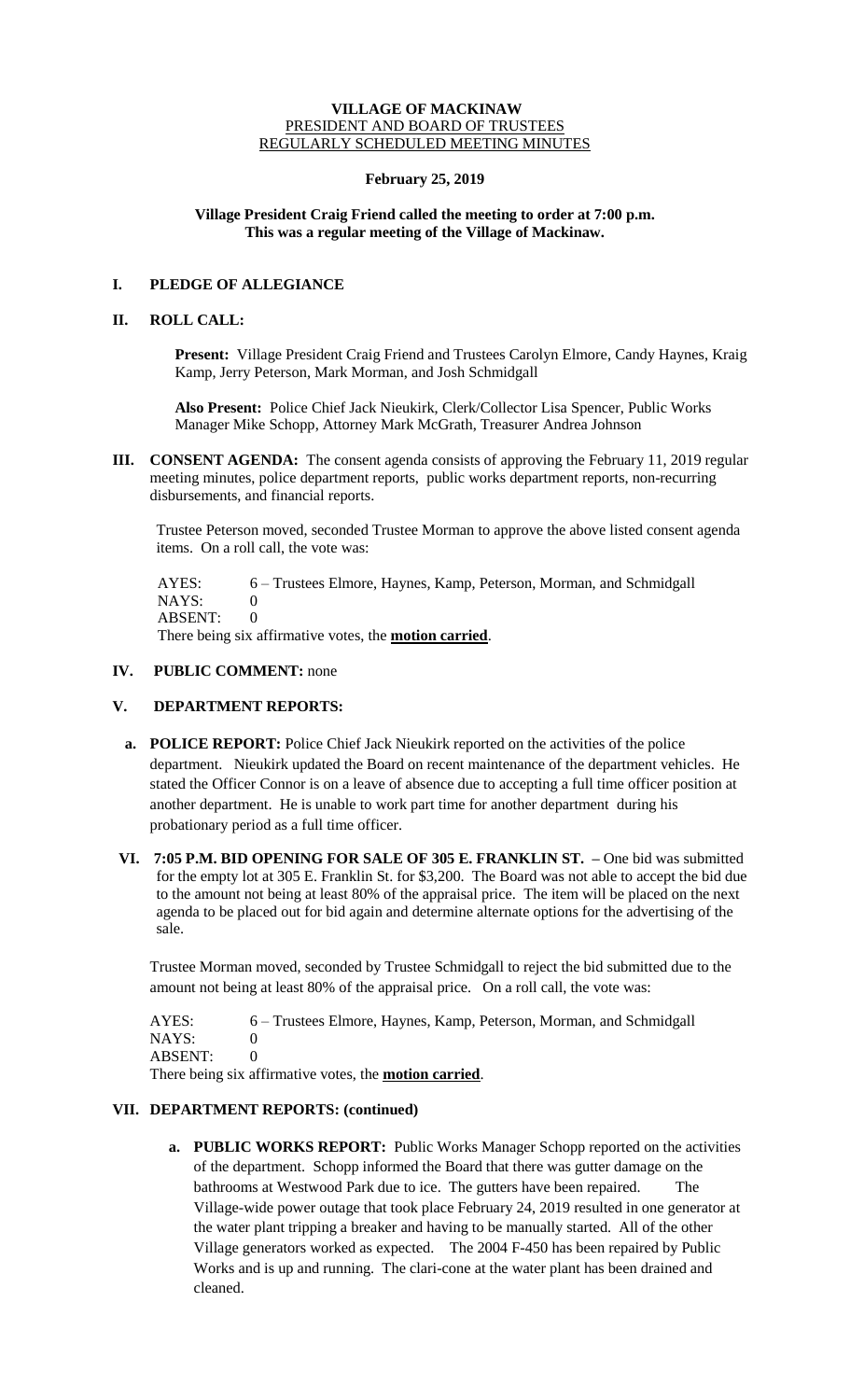#### **VILLAGE OF MACKINAW** PRESIDENT AND BOARD OF TRUSTEES REGULARLY SCHEDULED MEETING MINUTES

## **February 25, 2019**

## **Village President Craig Friend called the meeting to order at 7:00 p.m. This was a regular meeting of the Village of Mackinaw.**

# **I. PLEDGE OF ALLEGIANCE**

#### **II. ROLL CALL:**

**Present:** Village President Craig Friend and Trustees Carolyn Elmore, Candy Haynes, Kraig Kamp, Jerry Peterson, Mark Morman, and Josh Schmidgall

**Also Present:** Police Chief Jack Nieukirk, Clerk/Collector Lisa Spencer, Public Works Manager Mike Schopp, Attorney Mark McGrath, Treasurer Andrea Johnson

**III. CONSENT AGENDA:** The consent agenda consists of approving the February 11, 2019 regular meeting minutes, police department reports, public works department reports, non-recurring disbursements, and financial reports.

Trustee Peterson moved, seconded Trustee Morman to approve the above listed consent agenda items. On a roll call, the vote was:

 AYES: 6 – Trustees Elmore, Haynes, Kamp, Peterson, Morman, and Schmidgall NAYS: 0 ABSENT: 0 There being six affirmative votes, the **motion carried**.

## **IV. PUBLIC COMMENT:** none

## **V. DEPARTMENT REPORTS:**

- **a. POLICE REPORT:** Police Chief Jack Nieukirk reported on the activities of the police department. Nieukirk updated the Board on recent maintenance of the department vehicles. He stated the Officer Connor is on a leave of absence due to accepting a full time officer position at another department. He is unable to work part time for another department during his probationary period as a full time officer.
- **VI. 7:05 P.M. BID OPENING FOR SALE OF 305 E. FRANKLIN ST. –** One bid was submitted for the empty lot at 305 E. Franklin St. for \$3,200. The Board was not able to accept the bid due to the amount not being at least 80% of the appraisal price. The item will be placed on the next agenda to be placed out for bid again and determine alternate options for the advertising of the sale.

Trustee Morman moved, seconded by Trustee Schmidgall to reject the bid submitted due to the amount not being at least 80% of the appraisal price. On a roll call, the vote was:

AYES: 6 – Trustees Elmore, Haynes, Kamp, Peterson, Morman, and Schmidgall NAYS: 0 ABSENT: 0 There being six affirmative votes, the **motion carried**.

## **VII. DEPARTMENT REPORTS: (continued)**

**a. PUBLIC WORKS REPORT:** Public Works Manager Schopp reported on the activities of the department. Schopp informed the Board that there was gutter damage on the bathrooms at Westwood Park due to ice. The gutters have been repaired. The Village-wide power outage that took place February 24, 2019 resulted in one generator at the water plant tripping a breaker and having to be manually started. All of the other Village generators worked as expected. The 2004 F-450 has been repaired by Public Works and is up and running. The clari-cone at the water plant has been drained and cleaned.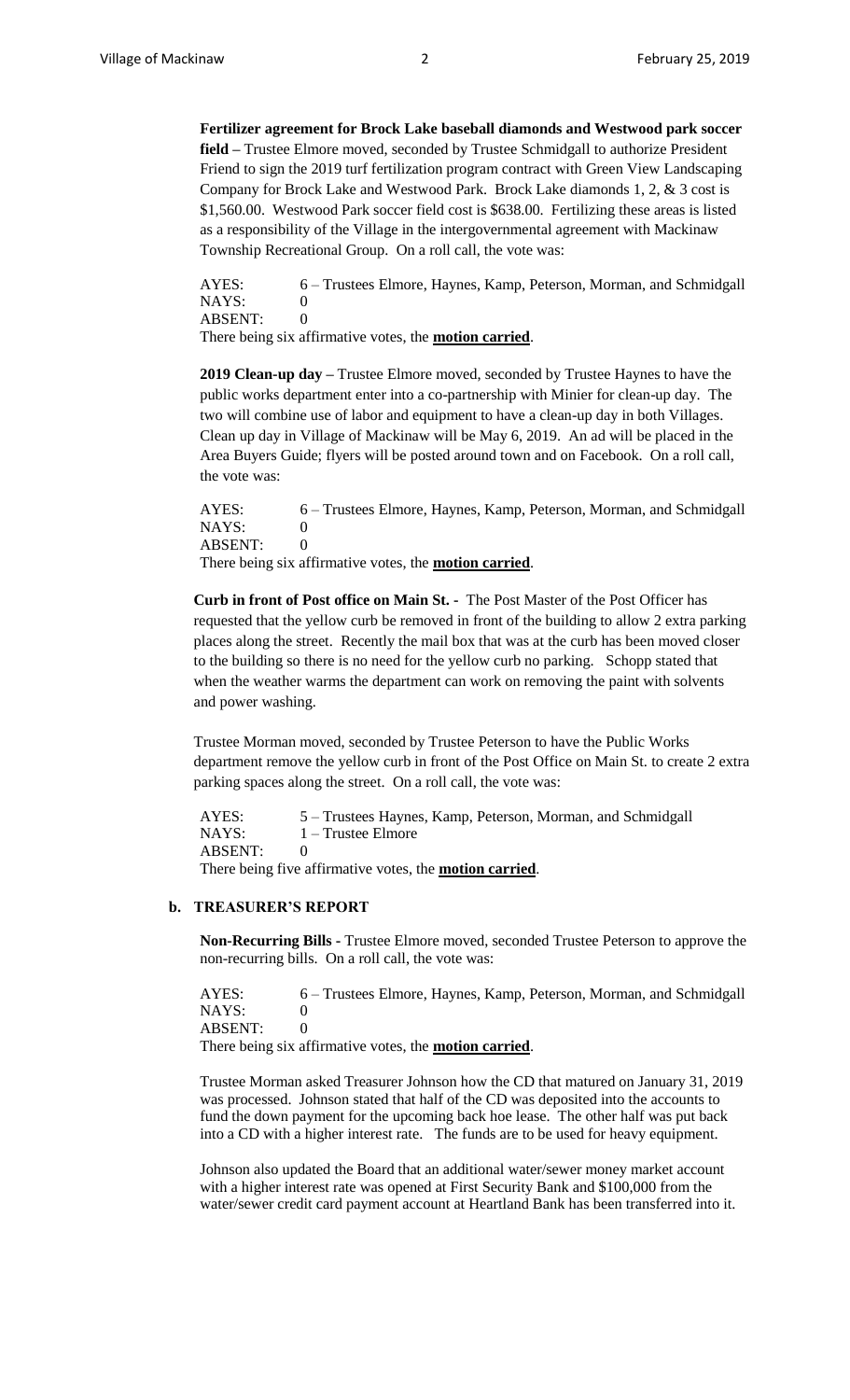**Fertilizer agreement for Brock Lake baseball diamonds and Westwood park soccer field –** Trustee Elmore moved, seconded by Trustee Schmidgall to authorize President Friend to sign the 2019 turf fertilization program contract with Green View Landscaping Company for Brock Lake and Westwood Park. Brock Lake diamonds 1, 2, & 3 cost is \$1,560.00. Westwood Park soccer field cost is \$638.00. Fertilizing these areas is listed as a responsibility of the Village in the intergovernmental agreement with Mackinaw Township Recreational Group. On a roll call, the vote was:

AYES: 6 – Trustees Elmore, Haynes, Kamp, Peterson, Morman, and Schmidgall NAYS: 0 ABSENT: 0

There being six affirmative votes, the **motion carried**.

**2019 Clean-up day –** Trustee Elmore moved, seconded by Trustee Haynes to have the public works department enter into a co-partnership with Minier for clean-up day. The two will combine use of labor and equipment to have a clean-up day in both Villages. Clean up day in Village of Mackinaw will be May 6, 2019. An ad will be placed in the Area Buyers Guide; flyers will be posted around town and on Facebook. On a roll call, the vote was:

AYES: 6 – Trustees Elmore, Haynes, Kamp, Peterson, Morman, and Schmidgall NAYS: 0 ABSENT: 0 There being six affirmative votes, the **motion carried**.

**Curb in front of Post office on Main St. -** The Post Master of the Post Officer has requested that the yellow curb be removed in front of the building to allow 2 extra parking places along the street. Recently the mail box that was at the curb has been moved closer to the building so there is no need for the yellow curb no parking. Schopp stated that when the weather warms the department can work on removing the paint with solvents and power washing.

Trustee Morman moved, seconded by Trustee Peterson to have the Public Works department remove the yellow curb in front of the Post Office on Main St. to create 2 extra parking spaces along the street. On a roll call, the vote was:

AYES: 5 – Trustees Haynes, Kamp, Peterson, Morman, and Schmidgall NAYS: 1 – Trustee Elmore ABSENT: 0 There being five affirmative votes, the **motion carried**.

## **b. TREASURER'S REPORT**

**Non-Recurring Bills -** Trustee Elmore moved, seconded Trustee Peterson to approve the non-recurring bills. On a roll call, the vote was:

AYES: 6 – Trustees Elmore, Haynes, Kamp, Peterson, Morman, and Schmidgall NAYS: 0 ABSENT: 0 There being six affirmative votes, the **motion carried**.

Trustee Morman asked Treasurer Johnson how the CD that matured on January 31, 2019 was processed. Johnson stated that half of the CD was deposited into the accounts to fund the down payment for the upcoming back hoe lease. The other half was put back into a CD with a higher interest rate. The funds are to be used for heavy equipment.

Johnson also updated the Board that an additional water/sewer money market account with a higher interest rate was opened at First Security Bank and \$100,000 from the water/sewer credit card payment account at Heartland Bank has been transferred into it.